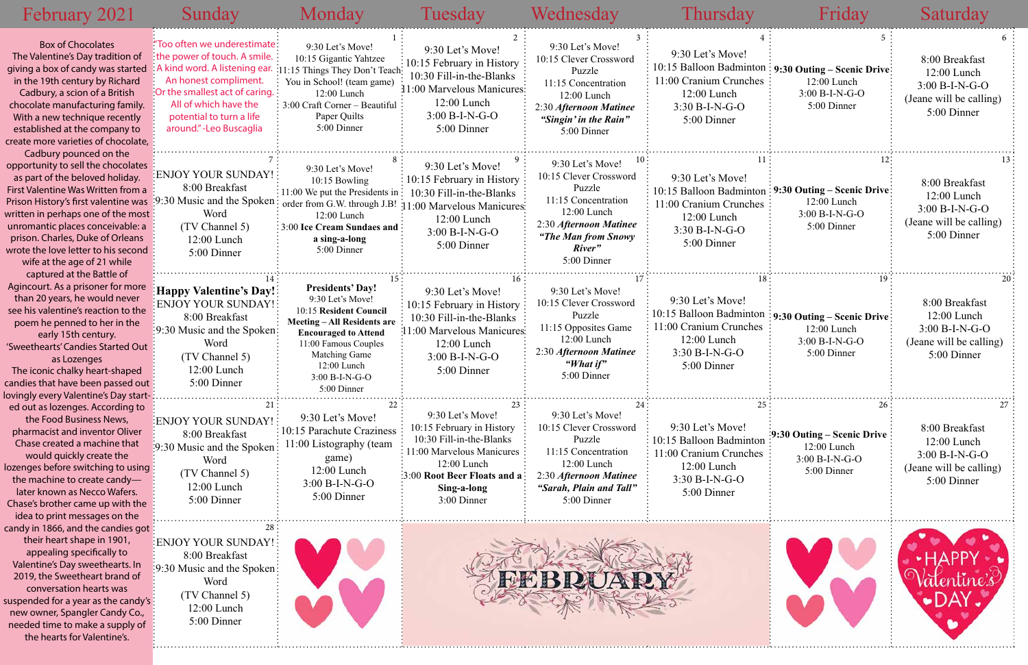| February 2021                                                                                                                                                                                                                                                                                                                                                                                  | Sunday                                                                                                                                                                                                                                    | Monday                                                                                                                                                                                                                                     | Tuesday                                                                                                                                                                                                  | Wednesday                                                                                                                                                              | <b>Thursday</b>                                                                                                         | Friday                                                                                                                | Saturday                                                                                      |
|------------------------------------------------------------------------------------------------------------------------------------------------------------------------------------------------------------------------------------------------------------------------------------------------------------------------------------------------------------------------------------------------|-------------------------------------------------------------------------------------------------------------------------------------------------------------------------------------------------------------------------------------------|--------------------------------------------------------------------------------------------------------------------------------------------------------------------------------------------------------------------------------------------|----------------------------------------------------------------------------------------------------------------------------------------------------------------------------------------------------------|------------------------------------------------------------------------------------------------------------------------------------------------------------------------|-------------------------------------------------------------------------------------------------------------------------|-----------------------------------------------------------------------------------------------------------------------|-----------------------------------------------------------------------------------------------|
| <b>Box of Chocolates</b><br>The Valentine's Day tradition of<br>giving a box of candy was started<br>in the 19th century by Richard<br>Cadbury, a scion of a British<br>chocolate manufacturing family.<br>With a new technique recently<br>established at the company to<br>create more varieties of chocolate,                                                                               | "Too often we underestimate:<br>the power of touch. A smile.<br>A kind word. A listening ear.<br>An honest compliment.<br>Or the smallest act of caring.<br>All of which have the<br>potential to turn a life<br>around." - Leo Buscaglia | 9:30 Let's Move!<br>10:15 Gigantic Yahtzee<br>:11:15 Things They Don't Teach<br>You in School! (team game)<br>12:00 Lunch<br>$\frac{1}{2}$ 3:00 Craft Corner – Beautiful<br>Paper Quilts<br>5:00 Dinner                                    | 9:30 Let's Move!<br>10:15 February in History<br>10:30 Fill-in-the-Blanks<br>11:00 Marvelous Manicures:<br>12:00 Lunch<br>$3:00 B-I-N-G-O$<br>5:00 Dinner                                                | 9:30 Let's Move!<br>10:15 Clever Crossword<br>Puzzle<br>11:15 Concentration<br>12:00 Lunch<br>2:30 Afternoon Matinee<br>"Singin' in the Rain"<br>5:00 Dinner           | 9:30 Let's Move!<br>11:00 Cranium Crunches<br>12:00 Lunch<br>$3:30 B-I-N-G-O$<br>5:00 Dinner                            | 10:15 Balloon Badminton : 9:30 Outing - Scenic Drive:<br>12:00 Lunch<br>$3:00 B-I-N-G-O$<br>5:00 Dinner               | 8:00 Breakfast<br>12:00 Lunch<br>$3:00 B-I-N-G-O$<br>(Jeane will be calling)<br>5:00 Dinner   |
| Cadbury pounced on the<br>opportunity to sell the chocolates<br>as part of the beloved holiday.<br>First Valentine Was Written from a<br>Prison History's first valentine was :9:30 Music and the Spoken:<br>written in perhaps one of the most:<br>unromantic places conceivable: a<br>prison. Charles, Duke of Orleans<br>wrote the love letter to his second<br>wife at the age of 21 while | ENJOY YOUR SUNDAY!<br>8:00 Breakfast<br>Word<br>(TV Channel 5)<br>$12:00$ Lunch<br>5:00 Dinner                                                                                                                                            | 9:30 Let's Move!<br>$10:15$ Bowling<br>$\div 11:00$ We put the Presidents in $\div$<br>order from G.W. through J.B!<br>$12:00$ Lunch<br>$\frac{1}{2}$ 3:00 Ice Cream Sundaes and<br>a sing-a-long<br>5:00 Dinner                           | 9:30 Let's Move!<br>$\frac{1}{2}$ 10:15 February in History<br>10:30 Fill-in-the-Blanks<br>11:00 Marvelous Manicures:<br>12:00 Lunch<br>$3:00 B-I-N-G-O$<br>5:00 Dinner                                  | 9:30 Let's Move!<br>10:15 Clever Crossword<br>Puzzle<br>11:15 Concentration<br>$12:00$ Lunch<br>2:30 Afternoon Matinee<br>"The Man from Snowy<br>River"<br>5:00 Dinner | 9:30 Let's Move!<br>10:15 Balloon Badminton<br>11:00 Cranium Crunches<br>12:00 Lunch<br>$3:30 B-I-N-G-O$<br>5:00 Dinner | : 9:30 Outing – Scenic Drive:<br>$12:00$ Lunch<br>3:00 B-I-N-G-O<br>5:00 Dinner                                       | 8:00 Breakfast<br>12:00 Lunch<br>$3:00 B-I-N-G-O$<br>(Jeane will be calling)<br>5:00 Dinner   |
| captured at the Battle of<br>Agincourt. As a prisoner for more<br>than 20 years, he would never<br>see his valentine's reaction to the<br>poem he penned to her in the<br>early 15th century.<br>'Sweethearts' Candies Started Out<br>as Lozenges<br>The iconic chalky heart-shaped<br>candies that have been passed out:<br>lovingly every Valentine's Day start-                             | <b>Happy Valentine's Day!:</b><br>ENJOY YOUR SUNDAY!<br>8:00 Breakfast<br>:9:30 Music and the Spoken:<br>Word<br>(TV Channel 5)<br>$12:00$ Lunch<br>5:00 Dinner                                                                           | <b>Presidents' Day!</b><br>9:30 Let's Move!<br>10:15 Resident Council<br><b>Meeting-All Residents are</b><br><b>Encouraged to Attend</b><br>11:00 Famous Couples<br><b>Matching Game</b><br>12:00 Lunch<br>$3:00 B-I-N-G-O$<br>5:00 Dinner | 9:30 Let's Move!<br>10:15 February in History<br>10:30 Fill-in-the-Blanks<br>11:00 Marvelous Manicures:<br>12:00 Lunch<br>$3:00 B-I-N-G-O$<br>5:00 Dinner                                                | 9:30 Let's Move!<br>10:15 Clever Crossword<br>Puzzle<br>11:15 Opposites Game<br>12:00 Lunch<br>2:30 Afternoon Matinee<br>"What if"<br>5:00 Dinner                      | 9:30 Let's Move!<br>11:00 Cranium Crunches<br>12:00 Lunch<br>$3:30 B-I-N-G-O$<br>5:00 Dinner                            | $\frac{1}{2}$ 10:15 Balloon Badminton : 9:30 Outing – Scenic Drive:<br>12:00 Lunch<br>$3:00 B-I-N-G-O$<br>5:00 Dinner | 8:00 Breakfast<br>$12:00$ Lunch<br>$3:00 B-I-N-G-O$<br>(Jeane will be calling)<br>5:00 Dinner |
| ed out as lozenges. According to<br>the Food Business News,<br>pharmacist and inventor Oliver<br>Chase created a machine that<br>would quickly create the<br>lozenges before switching to using:<br>the machine to create candy-<br>later known as Necco Wafers.<br>Chase's brother came up with the<br>idea to print messages on the                                                          | ENJOY YOUR SUNDAY!<br>8:00 Breakfast<br>:9:30 Music and the Spoken<br>Word<br>(TV Channel 5)<br>$12:00$ Lunch<br>5:00 Dinner                                                                                                              | 9:30 Let's Move!<br>$\frac{1}{2}$ 10:15 Parachute Craziness<br>11:00 Listography (team<br>game)<br>12:00 Lunch<br>$3:00 B-I-N-G-O$<br>5:00 Dinner                                                                                          | 23.<br>9:30 Let's Move!<br>10:15 February in History<br>10:30 Fill-in-the-Blanks<br>11:00 Marvelous Manicures<br>12:00 Lunch<br>$\frac{1}{2}:3:00$ Root Beer Floats and a:<br>Sing-a-long<br>3:00 Dinner | 9:30 Let's Move!<br>10:15 Clever Crossword<br>Puzzle<br>11:15 Concentration<br>12:00 Lunch<br>2:30 Afternoon Matinee<br>"Sarah, Plain and Tall"<br>5:00 Dinner         | 9:30 Let's Move!<br>10:15 Balloon Badminton<br>11:00 Cranium Crunches<br>12:00 Lunch<br>$3:30 B-I-N-G-O$<br>5:00 Dinner | $\frac{1}{2}$ :30 Outing – Scenic Drive<br>$12:00$ Lunch<br>$3:00 B-I-N-G-O$<br>5:00 Dinner                           | 8:00 Breakfast<br>12:00 Lunch<br>$3:00 B-I-N-G-O$<br>(Jeane will be calling)<br>5:00 Dinner   |
| candy in 1866, and the candies got:<br>their heart shape in 1901,<br>appealing specifically to<br>Valentine's Day sweethearts. In<br>2019, the Sweetheart brand of<br>conversation hearts was<br>suspended for a year as the candy's:<br>new owner, Spangler Candy Co.,<br>needed time to make a supply of<br>the hearts for Valentine's.                                                      | ENJOY YOUR SUNDAY!<br>8:00 Breakfast<br>$\frac{1}{2}$ :9:30 Music and the Spoken:<br>Word<br>(TV Channel 5)<br>12:00 Lunch<br>5:00 Dinner                                                                                                 |                                                                                                                                                                                                                                            |                                                                                                                                                                                                          |                                                                                                                                                                        |                                                                                                                         |                                                                                                                       |                                                                                               |

## 8:00 Breakfast 12:00 Lunch 3:00 B-I-N-G-O (Jeane will be calling) 5:00 Dinner 10:15 Balloon Badminton **9:30 Outing – Scenic Drive** 12:00 Lunch 3:00 B-I-N-G-O 5:00 Dinner 8:00 Breakfast 12:00 Lunch 3:00 B-I-N-G-O (Jeane will be calling) 5:00 Dinner 10:15 Balloon Badminton **9:30 Outing – Scenic Drive 9:30 Outing – Scenic Drive** 12:00 Lunch 3:00 B-I-N-G-O 5:00 Dinner 8:00 Breakfast 12:00 Lunch 3:00 B-I-N-G-O (Jeane will be calling) 5:00 Dinner 8:00 Breakfast 12:00 Lunch 3:00 B-I-N-G-O (Jeane will be calling) 5:00 Dinner 10:15 Balloon Badminton **9:30 Outing – Scenic Drive** 1es 12:00 Lunch 3:00 B-I-N-G-O 5:00 Dinner 12:00 Lunch 3:00 B-I-N-G-O 5:00 Dinner